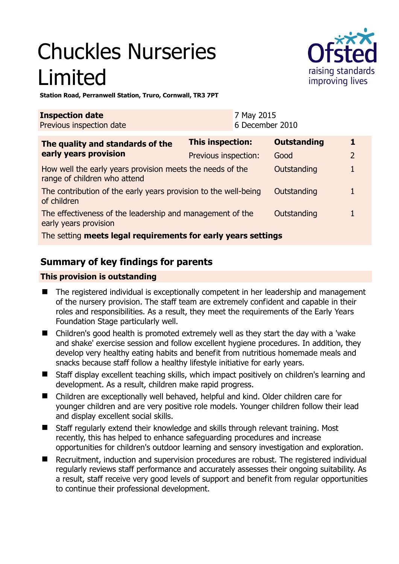# Chuckles Nurseries Limited



**Station Road, Perranwell Station, Truro, Cornwall, TR3 7PT** 

| <b>Inspection date</b><br>Previous inspection date                                        | 7 May 2015<br>6 December 2010 |                    |                |
|-------------------------------------------------------------------------------------------|-------------------------------|--------------------|----------------|
| The quality and standards of the<br>early years provision                                 | <b>This inspection:</b>       | <b>Outstanding</b> | 1              |
|                                                                                           | Previous inspection:          | Good               | $\overline{2}$ |
| How well the early years provision meets the needs of the<br>range of children who attend |                               | Outstanding        |                |
| The contribution of the early years provision to the well-being<br>of children            |                               | Outstanding        |                |
| The effectiveness of the leadership and management of the<br>early years provision        |                               | Outstanding        |                |
| The setting meets legal requirements for early years settings                             |                               |                    |                |

# **Summary of key findings for parents**

### **This provision is outstanding**

- The registered individual is exceptionally competent in her leadership and management of the nursery provision. The staff team are extremely confident and capable in their roles and responsibilities. As a result, they meet the requirements of the Early Years Foundation Stage particularly well.
- Children's good health is promoted extremely well as they start the day with a 'wake and shake' exercise session and follow excellent hygiene procedures. In addition, they develop very healthy eating habits and benefit from nutritious homemade meals and snacks because staff follow a healthy lifestyle initiative for early years.
- Staff display excellent teaching skills, which impact positively on children's learning and development. As a result, children make rapid progress.
- Children are exceptionally well behaved, helpful and kind. Older children care for younger children and are very positive role models. Younger children follow their lead and display excellent social skills.
- Staff regularly extend their knowledge and skills through relevant training. Most recently, this has helped to enhance safeguarding procedures and increase opportunities for children's outdoor learning and sensory investigation and exploration.
- Recruitment, induction and supervision procedures are robust. The registered individual regularly reviews staff performance and accurately assesses their ongoing suitability. As a result, staff receive very good levels of support and benefit from regular opportunities to continue their professional development.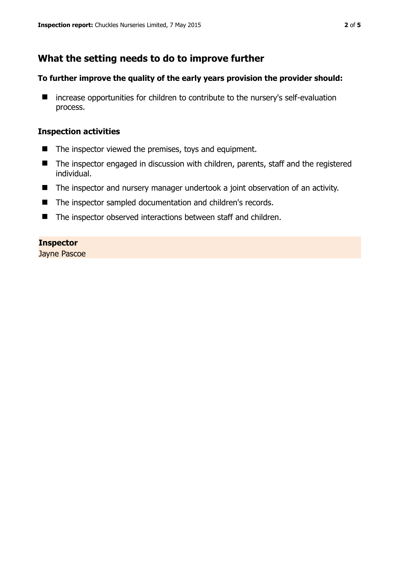# **What the setting needs to do to improve further**

#### **To further improve the quality of the early years provision the provider should:**

■ increase opportunities for children to contribute to the nursery's self-evaluation process.

#### **Inspection activities**

- The inspector viewed the premises, toys and equipment.
- The inspector engaged in discussion with children, parents, staff and the registered individual.
- The inspector and nursery manager undertook a joint observation of an activity.
- The inspector sampled documentation and children's records.
- The inspector observed interactions between staff and children.

#### **Inspector**

Jayne Pascoe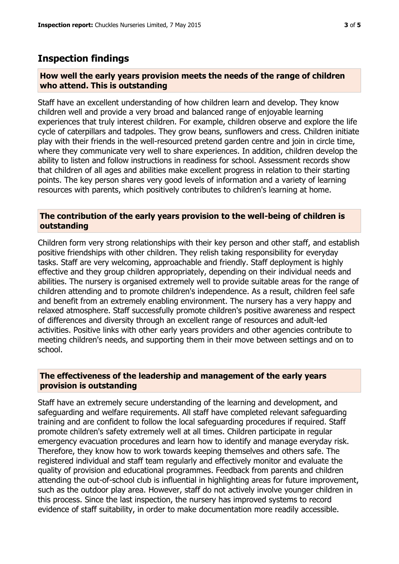## **Inspection findings**

#### **How well the early years provision meets the needs of the range of children who attend. This is outstanding**

Staff have an excellent understanding of how children learn and develop. They know children well and provide a very broad and balanced range of enjoyable learning experiences that truly interest children. For example, children observe and explore the life cycle of caterpillars and tadpoles. They grow beans, sunflowers and cress. Children initiate play with their friends in the well-resourced pretend garden centre and join in circle time, where they communicate very well to share experiences. In addition, children develop the ability to listen and follow instructions in readiness for school. Assessment records show that children of all ages and abilities make excellent progress in relation to their starting points. The key person shares very good levels of information and a variety of learning resources with parents, which positively contributes to children's learning at home.

#### **The contribution of the early years provision to the well-being of children is outstanding**

Children form very strong relationships with their key person and other staff, and establish positive friendships with other children. They relish taking responsibility for everyday tasks. Staff are very welcoming, approachable and friendly. Staff deployment is highly effective and they group children appropriately, depending on their individual needs and abilities. The nursery is organised extremely well to provide suitable areas for the range of children attending and to promote children's independence. As a result, children feel safe and benefit from an extremely enabling environment. The nursery has a very happy and relaxed atmosphere. Staff successfully promote children's positive awareness and respect of differences and diversity through an excellent range of resources and adult-led activities. Positive links with other early years providers and other agencies contribute to meeting children's needs, and supporting them in their move between settings and on to school.

#### **The effectiveness of the leadership and management of the early years provision is outstanding**

Staff have an extremely secure understanding of the learning and development, and safeguarding and welfare requirements. All staff have completed relevant safeguarding training and are confident to follow the local safeguarding procedures if required. Staff promote children's safety extremely well at all times. Children participate in regular emergency evacuation procedures and learn how to identify and manage everyday risk. Therefore, they know how to work towards keeping themselves and others safe. The registered individual and staff team regularly and effectively monitor and evaluate the quality of provision and educational programmes. Feedback from parents and children attending the out-of-school club is influential in highlighting areas for future improvement, such as the outdoor play area. However, staff do not actively involve younger children in this process. Since the last inspection, the nursery has improved systems to record evidence of staff suitability, in order to make documentation more readily accessible.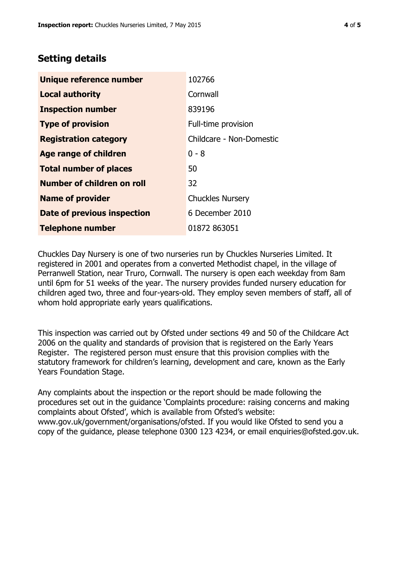# **Setting details**

| Unique reference number           | 102766                   |  |
|-----------------------------------|--------------------------|--|
| <b>Local authority</b>            | Cornwall                 |  |
| <b>Inspection number</b>          | 839196                   |  |
| <b>Type of provision</b>          | Full-time provision      |  |
| <b>Registration category</b>      | Childcare - Non-Domestic |  |
| <b>Age range of children</b>      | $0 - 8$                  |  |
| <b>Total number of places</b>     | 50                       |  |
| <b>Number of children on roll</b> | 32                       |  |
| <b>Name of provider</b>           | <b>Chuckles Nursery</b>  |  |
| Date of previous inspection       | 6 December 2010          |  |
| <b>Telephone number</b>           | 01872 863051             |  |

Chuckles Day Nursery is one of two nurseries run by Chuckles Nurseries Limited. It registered in 2001 and operates from a converted Methodist chapel, in the village of Perranwell Station, near Truro, Cornwall. The nursery is open each weekday from 8am until 6pm for 51 weeks of the year. The nursery provides funded nursery education for children aged two, three and four-years-old. They employ seven members of staff, all of whom hold appropriate early years qualifications.

This inspection was carried out by Ofsted under sections 49 and 50 of the Childcare Act 2006 on the quality and standards of provision that is registered on the Early Years Register. The registered person must ensure that this provision complies with the statutory framework for children's learning, development and care, known as the Early Years Foundation Stage.

Any complaints about the inspection or the report should be made following the procedures set out in the guidance 'Complaints procedure: raising concerns and making complaints about Ofsted', which is available from Ofsted's website: www.gov.uk/government/organisations/ofsted. If you would like Ofsted to send you a copy of the guidance, please telephone 0300 123 4234, or email enquiries@ofsted.gov.uk.